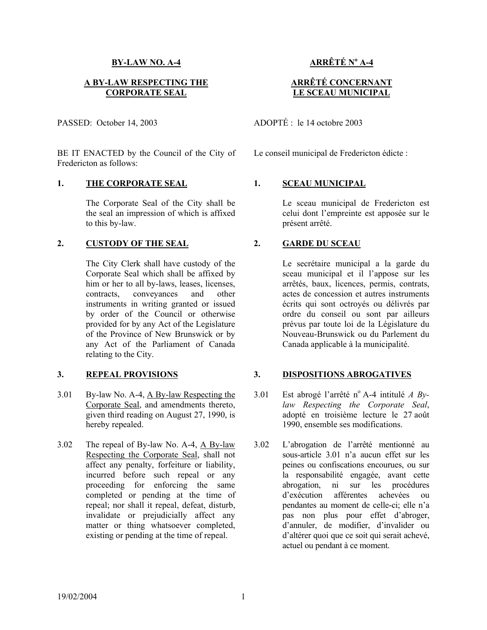## **BY-LAW NO. A-4**

## **A BY-LAW RESPECTING THE CORPORATE SEAL**

PASSED: October 14, 2003

BE IT ENACTED by the Council of the City of Fredericton as follows:

## 1. THE CORPORATE SEAL 1. SCEAU MUNICIPAL

The Corporate Seal of the City shall be the seal an impression of which is affixed to this by-law.

## **2. CUSTODY OF THE SEAL 2. GARDE DU SCEAU**

The City Clerk shall have custody of the Corporate Seal which shall be affixed by him or her to all by-laws, leases, licenses, contracts, conveyances and other instruments in writing granted or issued by order of the Council or otherwise provided for by any Act of the Legislature of the Province of New Brunswick or by any Act of the Parliament of Canada relating to the City.

- 3.01 By-law No. A-4, A By-law Respecting the Corporate Seal, and amendments thereto, given third reading on August 27, 1990, is hereby repealed.
- 3.02 The repeal of By-law No. A-4, A By-law Respecting the Corporate Seal, shall not affect any penalty, forfeiture or liability, incurred before such repeal or any proceeding for enforcing the same completed or pending at the time of repeal; nor shall it repeal, defeat, disturb, invalidate or prejudicially affect any matter or thing whatsoever completed, existing or pending at the time of repeal.

# **ARRÊTÉ No A-4**

## **ARRÊTÉ CONCERNANT LE SCEAU MUNICIPAL**

ADOPTÉ : le 14 octobre 2003

Le conseil municipal de Fredericton édicte :

Le sceau municipal de Fredericton est celui dont l'empreinte est apposée sur le présent arrêté.

 Le secrétaire municipal a la garde du sceau municipal et il l'appose sur les arrêtés, baux, licences, permis, contrats, actes de concession et autres instruments écrits qui sont octroyés ou délivrés par ordre du conseil ou sont par ailleurs prévus par toute loi de la Législature du Nouveau-Brunswick ou du Parlement du Canada applicable à la municipalité.

## **3. REPEAL PROVISIONS 3. DISPOSITIONS ABROGATIVES**

- 3.01 Est abrogé l'arrêté n° A-4 intitulé *A Bylaw Respecting the Corporate Seal*, adopté en troisième lecture le 27 août 1990, ensemble ses modifications.
	- 3.02 L'abrogation de l'arrêté mentionné au sous-article 3.01 n'a aucun effet sur les peines ou confiscations encourues, ou sur la responsabilité engagée, avant cette abrogation, ni sur les procédures d'exécution afférentes achevées ou pendantes au moment de celle-ci; elle n'a pas non plus pour effet d'abroger, d'annuler, de modifier, d'invalider ou d'altérer quoi que ce soit qui serait achevé, actuel ou pendant à ce moment.